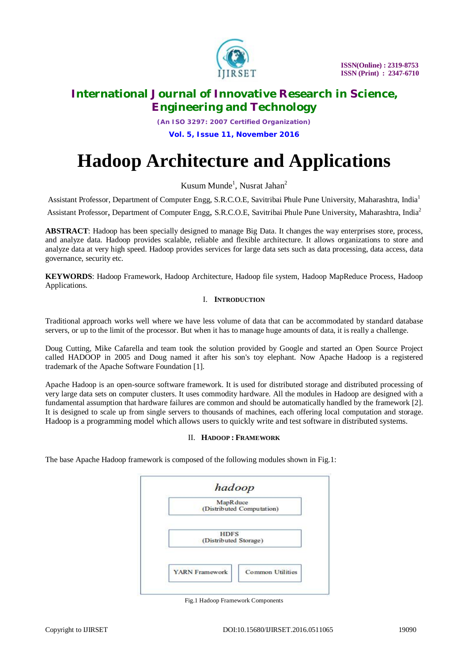

*(An ISO 3297: 2007 Certified Organization)*

**Vol. 5, Issue 11, November 2016**

# **Hadoop Architecture and Applications**

Kusum Munde<sup>1</sup>, Nusrat Jahan<sup>2</sup>

Assistant Professor, Department of Computer Engg, S.R.C.O.E*,* Savitribai Phule Pune University, Maharashtra, India<sup>1</sup> Assistant Professor, Department of Computer Engg, S.R.C.O.E, Savitribai Phule Pune University, Maharashtra, India<sup>2</sup>

**ABSTRACT**: Hadoop has been specially designed to manage Big Data. It changes the way enterprises store, process, and analyze data. Hadoop provides scalable, reliable and flexible architecture. It allows organizations to store and analyze data at very high speed. Hadoop provides services for large data sets such as data processing, data access, data governance, security etc.

**KEYWORDS**: Hadoop Framework, Hadoop Architecture, Hadoop file system, Hadoop MapReduce Process, Hadoop Applications.

## I. **INTRODUCTION**

Traditional approach works well where we have less volume of data that can be accommodated by standard database servers, or up to the limit of the processor. But when it has to manage huge amounts of data, it is really a challenge.

Doug Cutting, Mike Cafarella and team took the solution provided by Google and started an Open Source Project called HADOOP in 2005 and Doug named it after his son's toy elephant. Now Apache Hadoop is a registered trademark of the Apache Software Foundation [1].

Apache Hadoop is an open-source software framework. It is used for distributed storage and distributed processing of very large data sets on computer clusters. It uses commodity hardware. All the modules in Hadoop are designed with a fundamental assumption that hardware failures are common and should be automatically handled by the framework [2]. It is designed to scale up from single servers to thousands of machines, each offering local computation and storage. Hadoop is a programming model which allows users to quickly write and test software in distributed systems.

## II. **HADOOP : FRAMEWORK**

The base Apache Hadoop framework is composed of the following modules shown in Fig.1:



Fig.1 Hadoop Framework Components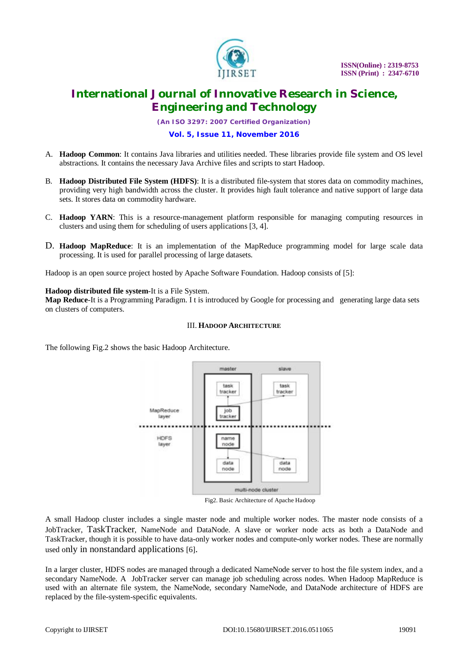

*(An ISO 3297: 2007 Certified Organization)*

## **Vol. 5, Issue 11, November 2016**

- A. **Hadoop Common**: It contains Java libraries and utilities needed. These libraries provide file system and OS level abstractions. It contains the necessary Java Archive files and scripts to start Hadoop.
- B. **Hadoop Distributed File System (HDFS)**: It is a distributed file-system that stores data on commodity machines, providing very high bandwidth across the cluster. It provides high fault tolerance and native support of large data sets. It stores data on commodity hardware.
- C. **Hadoop YARN**: This is a resource-management platform responsible for managing computing resources in clusters and using them for scheduling of users applications [3, 4].
- D. **Hadoop MapReduce**: It is an implementation of the MapReduce programming model for large scale data processing. It is used for parallel processing of large datasets.

Hadoop is an open source project hosted by Apache Software Foundation. Hadoop consists of [5]:

#### **Hadoop distributed file system**-It is a File System.

**Map Reduce**-It is a Programming Paradigm. I t is introduced by Google for processing and generating large data sets on clusters of computers.

## III. **HADOOP ARCHITECTURE**

The following Fig.2 shows the basic Hadoop Architecture.



Fig2. Basic Architecture of Apache Hadoop

A small Hadoop cluster includes a single master node and multiple worker nodes. The master node consists of a JobTracker, TaskTracker, NameNode and DataNode. A slave or worker node acts as both a DataNode and TaskTracker, though it is possible to have data-only worker nodes and compute-only worker nodes. These are normally used only in nonstandard applications [6].

In a larger cluster, HDFS nodes are managed through a dedicated NameNode server to host the file system index, and a secondary NameNode. A JobTracker server can manage job scheduling across nodes. When Hadoop MapReduce is used with an alternate file system, the NameNode, secondary NameNode, and DataNode architecture of HDFS are replaced by the file-system-specific equivalents.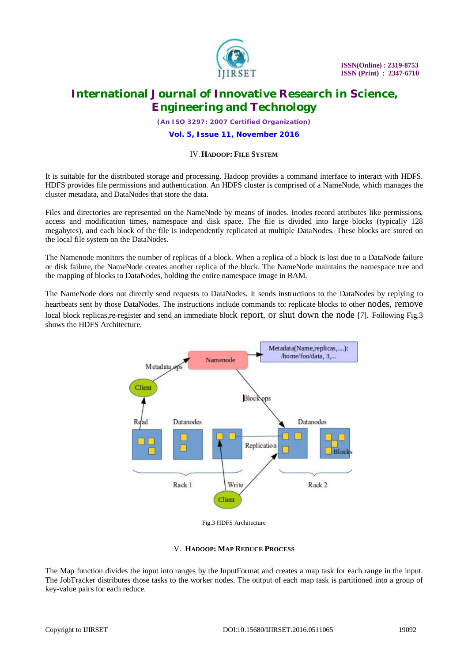

*(An ISO 3297: 2007 Certified Organization)*

#### **Vol. 5, Issue 11, November 2016**

## IV.**HADOOP: FILE SYSTEM**

It is suitable for the distributed storage and processing. Hadoop provides a command interface to interact with HDFS. HDFS provides file permissions and authentication. An HDFS cluster is comprised of a NameNode, which manages the cluster metadata, and DataNodes that store the data.

Files and directories are represented on the NameNode by means of inodes. Inodes record attributes like permissions, access and modification times, namespace and disk space. The file is divided into large blocks (typically 128 megabytes), and each block of the file is independently replicated at multiple DataNodes. These blocks are stored on the local file system on the DataNodes.

The Namenode monitors the number of replicas of a block. When a replica of a block is lost due to a DataNode failure or disk failure, the NameNode creates another replica of the block. The NameNode maintains the namespace tree and the mapping of blocks to DataNodes, holding the entire namespace image in RAM.

The NameNode does not directly send requests to DataNodes. It sends instructions to the DataNodes by replying to heartbeats sent by those DataNodes. The instructions include commands to: replicate blocks to other nodes, remove local block replicas,re-register and send an immediate block report, or shut down the node [7]. Following Fig.3 shows the HDFS Architecture.



Fig.3 HDFS Architecture

## V. **HADOOP: MAP REDUCE PROCESS**

The Map function divides the input into ranges by the InputFormat and creates a map task for each range in the input. The JobTracker distributes those tasks to the worker nodes. The output of each map task is partitioned into a group of key-value pairs for each reduce.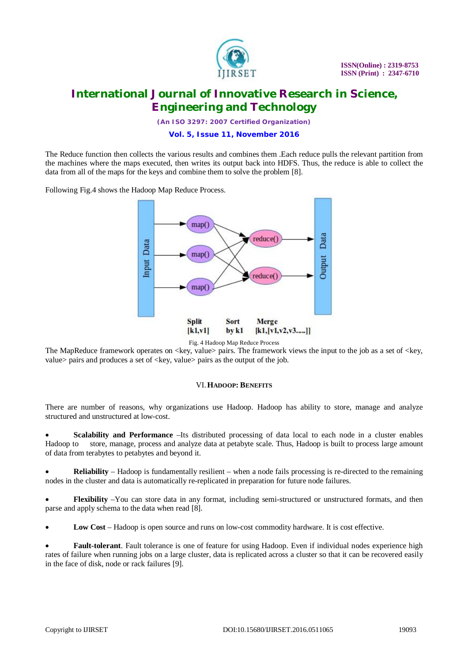

*(An ISO 3297: 2007 Certified Organization)*

## **Vol. 5, Issue 11, November 2016**

The Reduce function then collects the various results and combines them .Each reduce pulls the relevant partition from the machines where the maps executed, then writes its output back into HDFS. Thus, the reduce is able to collect the data from all of the maps for the keys and combine them to solve the problem [8].

Following Fig.4 shows the Hadoop Map Reduce Process.



Fig. 4 Hadoop Map Reduce Process

The MapReduce framework operates on <key, value> pairs. The framework views the input to the job as a set of <key, value > pairs and produces a set of  $\langle key, value \rangle$  pairs as the output of the job.

## VI.**HADOOP: BENEFITS**

There are number of reasons, why organizations use Hadoop. Hadoop has ability to store, manage and analyze structured and unstructured at low-cost.

 **Scalability and Performance** –Its distributed processing of data local to each node in a cluster enables Hadoop to store, manage, process and analyze data at petabyte scale. Thus, Hadoop is built to process large amount of data from terabytes to petabytes and beyond it.

 **Reliability** – Hadoop is fundamentally resilient – when a node fails processing is re-directed to the remaining nodes in the cluster and data is automatically re-replicated in preparation for future node failures.

 **Flexibility** –You can store data in any format, including semi-structured or unstructured formats, and then parse and apply schema to the data when read [8].

**Low Cost** – Hadoop is open source and runs on low-cost commodity hardware. It is cost effective.

 **Fault-tolerant**. Fault tolerance is one of feature for using Hadoop. Even if individual nodes experience high rates of failure when running jobs on a large cluster, data is replicated across a cluster so that it can be recovered easily in the face of disk, node or rack failures [9].